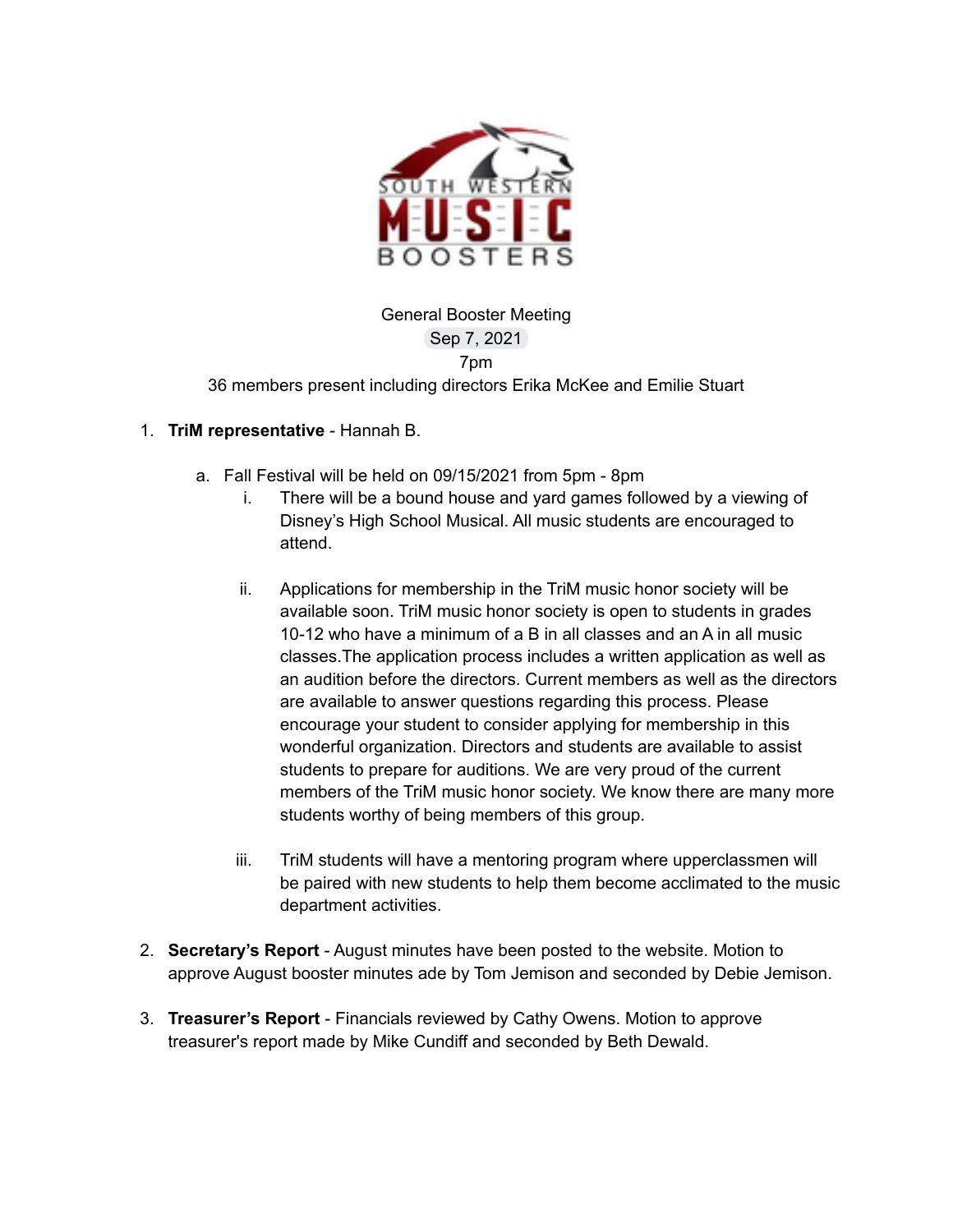

General Booster Meeting Sep 7, 2021 7pm 36 members present including directors Erika McKee and Emilie Stuart

### 1. **TriM representative** - Hannah B.

- a. Fall Festival will be held on 09/15/2021 from 5pm 8pm
	- i. There will be a bound house and yard games followed by a viewing of Disney's High School Musical. All music students are encouraged to attend.
	- ii. Applications for membership in the TriM music honor society will be available soon. TriM music honor society is open to students in grades 10-12 who have a minimum of a B in all classes and an A in all music classes.The application process includes a written application as well as an audition before the directors. Current members as well as the directors are available to answer questions regarding this process. Please encourage your student to consider applying for membership in this wonderful organization. Directors and students are available to assist students to prepare for auditions. We are very proud of the current members of the TriM music honor society. We know there are many more students worthy of being members of this group.
	- iii. TriM students will have a mentoring program where upperclassmen will be paired with new students to help them become acclimated to the music department activities.
- 2. **Secretary's Report** August minutes have been posted to the website. Motion to approve August booster minutes ade by Tom Jemison and seconded by Debie Jemison.
- 3. **Treasurer's Report** Financials reviewed by Cathy Owens. Motion to approve treasurer's report made by Mike Cundiff and seconded by Beth Dewald.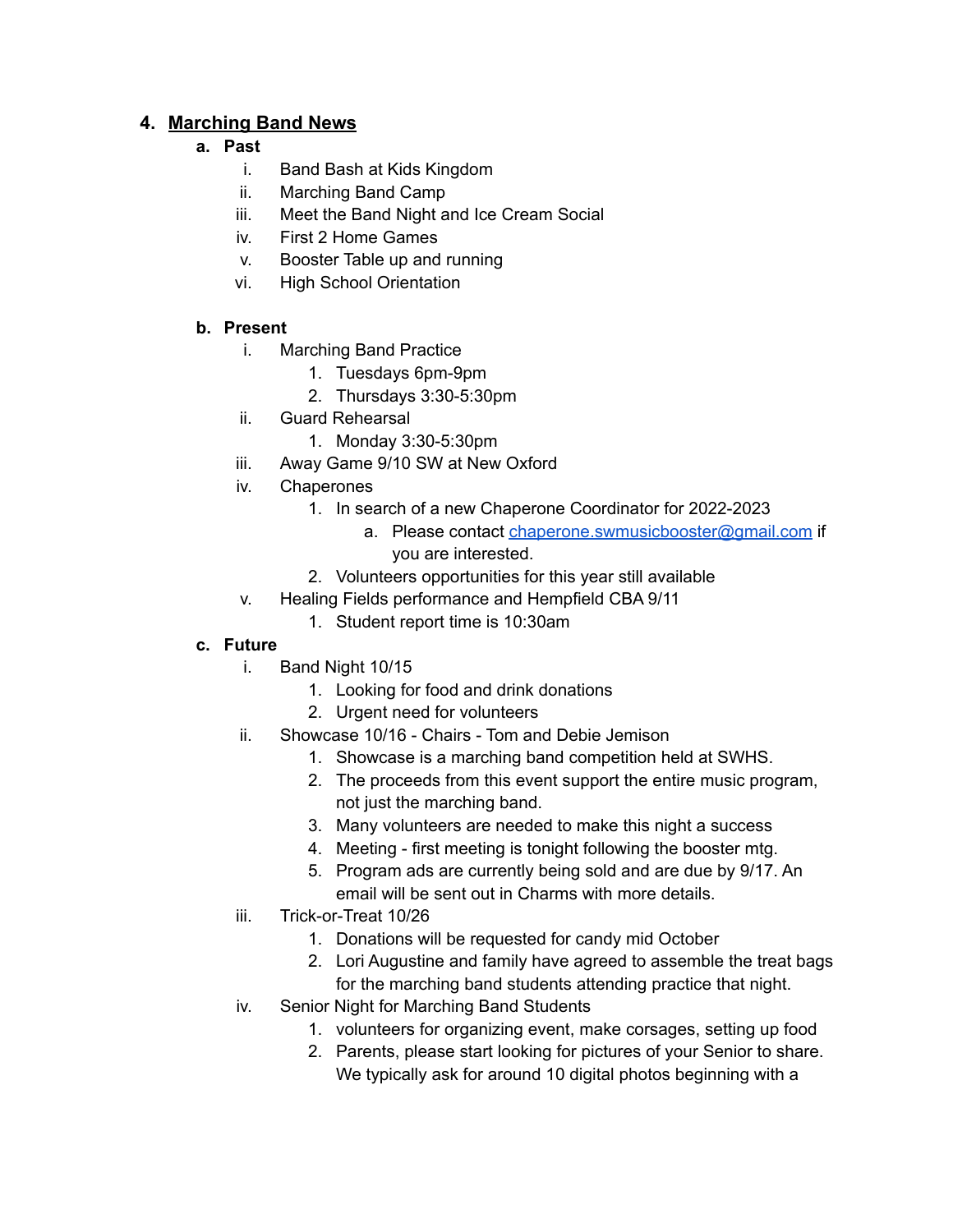# **4. Marching Band News**

## **a. Past**

- i. Band Bash at Kids Kingdom
- ii. Marching Band Camp
- iii. Meet the Band Night and Ice Cream Social
- iv. First 2 Home Games
- v. Booster Table up and running
- vi. High School Orientation

## **b. Present**

- i. Marching Band Practice
	- 1. Tuesdays 6pm-9pm
	- 2. Thursdays 3:30-5:30pm
- ii. Guard Rehearsal
	- 1. Monday 3:30-5:30pm
- iii. Away Game 9/10 SW at New Oxford
- iv. Chaperones
	- 1. In search of a new Chaperone Coordinator for 2022-2023
		- a. Please contact [chaperone.swmusicbooster@gmail.com](mailto:chaperone.swmusicbooster@gmail.com) if you are interested.
	- 2. Volunteers opportunities for this year still available
- v. Healing Fields performance and Hempfield CBA 9/11
	- 1. Student report time is 10:30am

## **c. Future**

- i. Band Night 10/15
	- 1. Looking for food and drink donations
	- 2. Urgent need for volunteers
- ii. Showcase 10/16 Chairs Tom and Debie Jemison
	- 1. Showcase is a marching band competition held at SWHS.
	- 2. The proceeds from this event support the entire music program, not just the marching band.
	- 3. Many volunteers are needed to make this night a success
	- 4. Meeting first meeting is tonight following the booster mtg.
	- 5. Program ads are currently being sold and are due by 9/17. An email will be sent out in Charms with more details.
- iii. Trick-or-Treat 10/26
	- 1. Donations will be requested for candy mid October
	- 2. Lori Augustine and family have agreed to assemble the treat bags for the marching band students attending practice that night.
- iv. Senior Night for Marching Band Students
	- 1. volunteers for organizing event, make corsages, setting up food
	- 2. Parents, please start looking for pictures of your Senior to share. We typically ask for around 10 digital photos beginning with a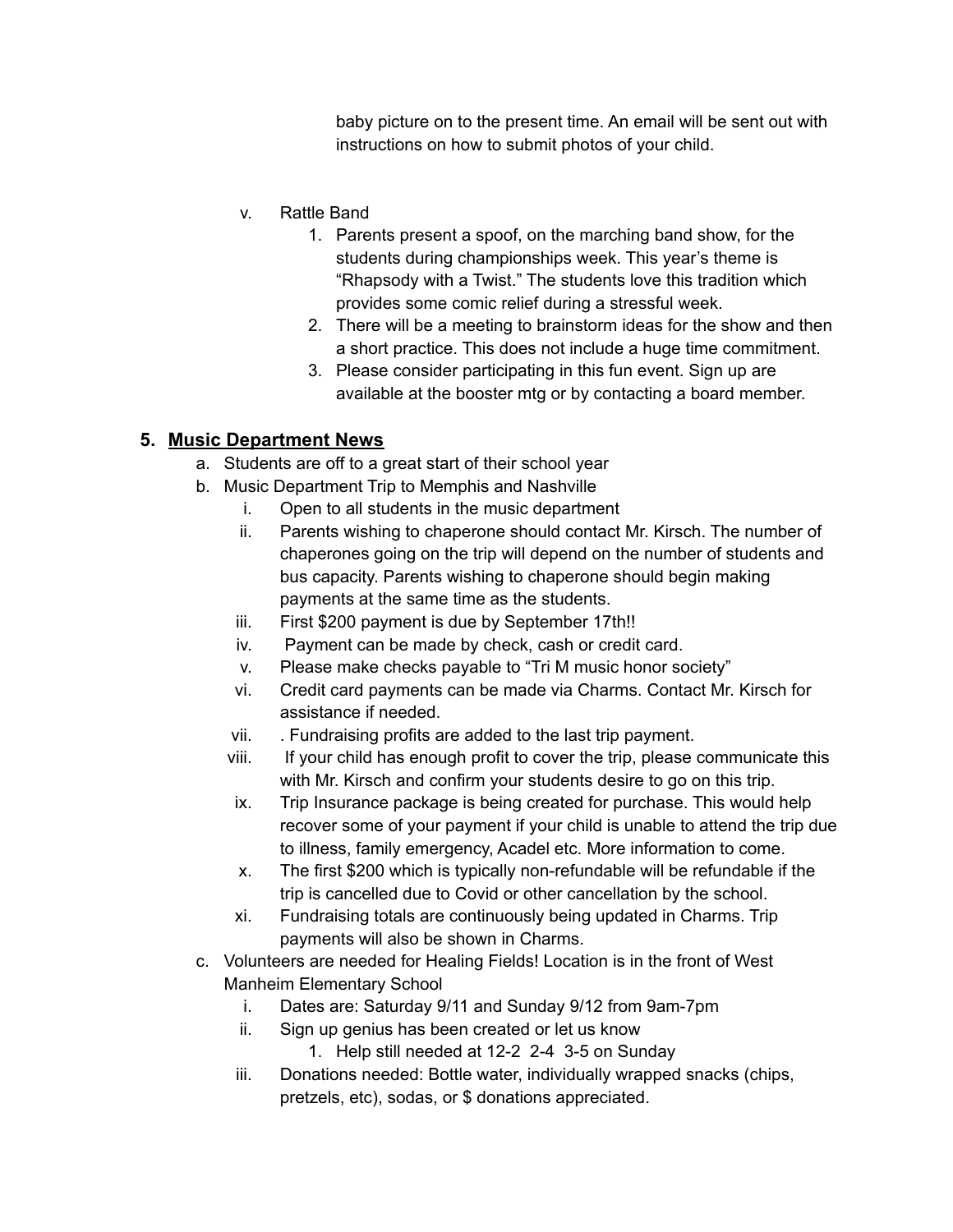baby picture on to the present time. An email will be sent out with instructions on how to submit photos of your child.

- v. Rattle Band
	- 1. Parents present a spoof, on the marching band show, for the students during championships week. This year's theme is "Rhapsody with a Twist." The students love this tradition which provides some comic relief during a stressful week.
	- 2. There will be a meeting to brainstorm ideas for the show and then a short practice. This does not include a huge time commitment.
	- 3. Please consider participating in this fun event. Sign up are available at the booster mtg or by contacting a board member.

# **5. Music Department News**

- a. Students are off to a great start of their school year
- b. Music Department Trip to Memphis and Nashville
	- i. Open to all students in the music department
	- ii. Parents wishing to chaperone should contact Mr. Kirsch. The number of chaperones going on the trip will depend on the number of students and bus capacity. Parents wishing to chaperone should begin making payments at the same time as the students.
	- iii. First \$200 payment is due by September 17th!!
	- iv. Payment can be made by check, cash or credit card.
	- v. Please make checks payable to "Tri M music honor society"
	- vi. Credit card payments can be made via Charms. Contact Mr. Kirsch for assistance if needed.
	- vii. . Fundraising profits are added to the last trip payment.
	- viii. If your child has enough profit to cover the trip, please communicate this with Mr. Kirsch and confirm your students desire to go on this trip.
	- ix. Trip Insurance package is being created for purchase. This would help recover some of your payment if your child is unable to attend the trip due to illness, family emergency, Acadel etc. More information to come.
	- x. The first \$200 which is typically non-refundable will be refundable if the trip is cancelled due to Covid or other cancellation by the school.
	- xi. Fundraising totals are continuously being updated in Charms. Trip payments will also be shown in Charms.
- c. Volunteers are needed for Healing Fields! Location is in the front of West Manheim Elementary School
	- i. Dates are: Saturday 9/11 and Sunday 9/12 from 9am-7pm
	- ii. Sign up genius has been created or let us know
		- 1. Help still needed at 12-2 2-4 3-5 on Sunday
	- iii. Donations needed: Bottle water, individually wrapped snacks (chips, pretzels, etc), sodas, or \$ donations appreciated.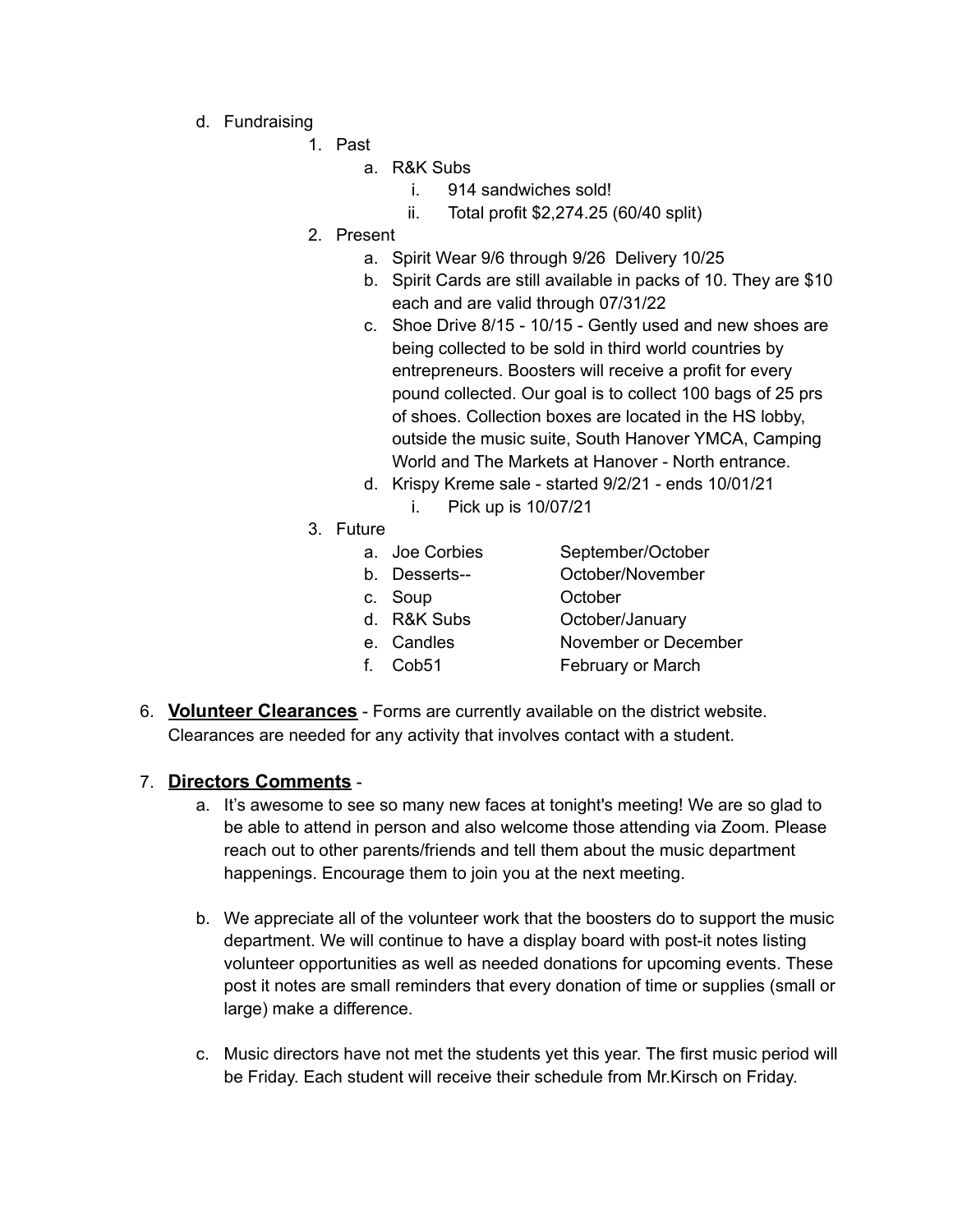- d. Fundraising
	- 1. Past
		- a. R&K Subs
			- i. 914 sandwiches sold!
			- ii. Total profit \$2,274.25 (60/40 split)
	- 2. Present
		- a. Spirit Wear 9/6 through 9/26 Delivery 10/25
		- b. Spirit Cards are still available in packs of 10. They are \$10 each and are valid through 07/31/22
		- c. Shoe Drive 8/15 10/15 Gently used and new shoes are being collected to be sold in third world countries by entrepreneurs. Boosters will receive a profit for every pound collected. Our goal is to collect 100 bags of 25 prs of shoes. Collection boxes are located in the HS lobby, outside the music suite, South Hanover YMCA, Camping World and The Markets at Hanover - North entrance.
		- d. Krispy Kreme sale started 9/2/21 ends 10/01/21 i. Pick up is 10/07/21
	- 3. Future

| September/October                                                                   |
|-------------------------------------------------------------------------------------|
| October/November                                                                    |
| October                                                                             |
| October/January                                                                     |
| November or December                                                                |
| February or March                                                                   |
| a. Joe Corbies<br>b. Desserts--<br>c. Soup<br>d. R&K Subs<br>e. Candles<br>f. Cob51 |

6. **Volunteer Clearances** - Forms are currently available on the district website. Clearances are needed for any activity that involves contact with a student.

### 7. **Directors Comments** -

- a. It's awesome to see so many new faces at tonight's meeting! We are so glad to be able to attend in person and also welcome those attending via Zoom. Please reach out to other parents/friends and tell them about the music department happenings. Encourage them to join you at the next meeting.
- b. We appreciate all of the volunteer work that the boosters do to support the music department. We will continue to have a display board with post-it notes listing volunteer opportunities as well as needed donations for upcoming events. These post it notes are small reminders that every donation of time or supplies (small or large) make a difference.
- c. Music directors have not met the students yet this year. The first music period will be Friday. Each student will receive their schedule from Mr.Kirsch on Friday.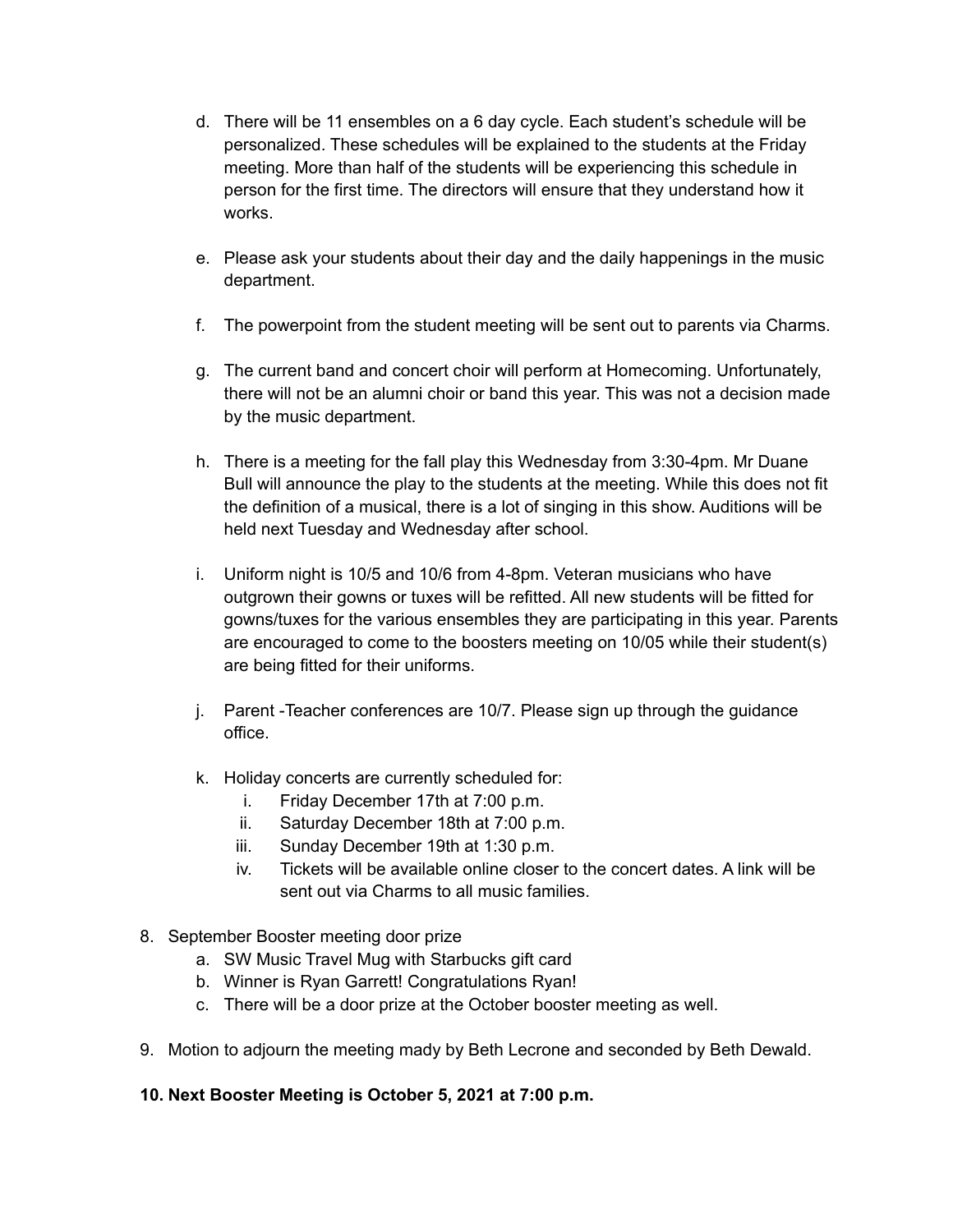- d. There will be 11 ensembles on a 6 day cycle. Each student's schedule will be personalized. These schedules will be explained to the students at the Friday meeting. More than half of the students will be experiencing this schedule in person for the first time. The directors will ensure that they understand how it works.
- e. Please ask your students about their day and the daily happenings in the music department.
- f. The powerpoint from the student meeting will be sent out to parents via Charms.
- g. The current band and concert choir will perform at Homecoming. Unfortunately, there will not be an alumni choir or band this year. This was not a decision made by the music department.
- h. There is a meeting for the fall play this Wednesday from 3:30-4pm. Mr Duane Bull will announce the play to the students at the meeting. While this does not fit the definition of a musical, there is a lot of singing in this show. Auditions will be held next Tuesday and Wednesday after school.
- i. Uniform night is 10/5 and 10/6 from 4-8pm. Veteran musicians who have outgrown their gowns or tuxes will be refitted. All new students will be fitted for gowns/tuxes for the various ensembles they are participating in this year. Parents are encouraged to come to the boosters meeting on 10/05 while their student(s) are being fitted for their uniforms.
- j. Parent -Teacher conferences are 10/7. Please sign up through the guidance office.
- k. Holiday concerts are currently scheduled for:
	- i. Friday December 17th at 7:00 p.m.
	- ii. Saturday December 18th at 7:00 p.m.
	- iii. Sunday December 19th at 1:30 p.m.
	- iv. Tickets will be available online closer to the concert dates. A link will be sent out via Charms to all music families.
- 8. September Booster meeting door prize
	- a. SW Music Travel Mug with Starbucks gift card
	- b. Winner is Ryan Garrett! Congratulations Ryan!
	- c. There will be a door prize at the October booster meeting as well.
- 9. Motion to adjourn the meeting mady by Beth Lecrone and seconded by Beth Dewald.

### **10. Next Booster Meeting is October 5, 2021 at 7:00 p.m.**